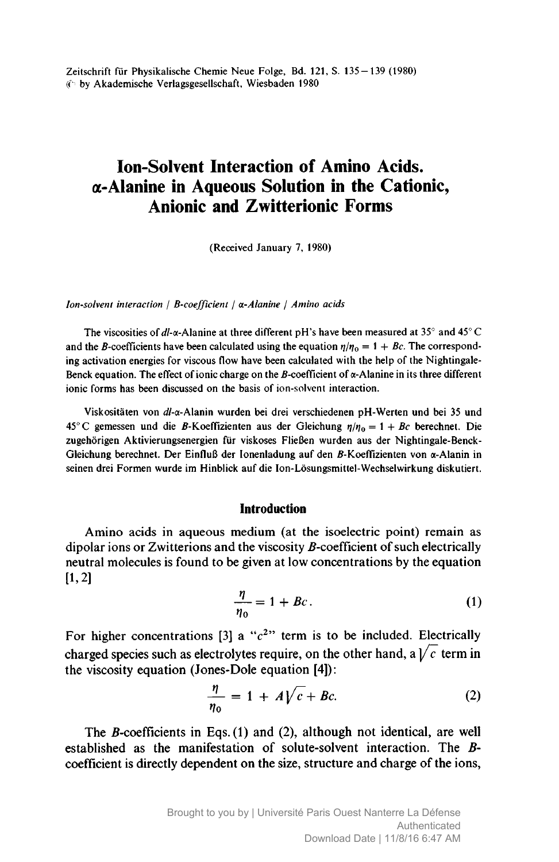Zeitschrift für Physikalische Chemie Neue Folge, Bd. 121, S. 135-139 (1980) (fi by Akademische Verlagsgesellschaft, Wiesbaden <sup>1980</sup>

# Ion-Solvent Interaction of Amino Acids. -Alanine in Aqueous Solution in the Cationic, Anionic and Zwitterionic Forms

(Received January 7, 1980)

Ion-solvent interaction / B-coefficient /  $\alpha$ -Alanine / Amino acids

The viscosities of dl- $\alpha$ -Alanine at three different pH's have been measured at 35° and 45° C and the B-coefficients have been calculated using the equation  $\eta / \eta_0 = 1 + Bc$ . The corresponding activation energies for viscous flow have been calculated with the help of the Nightingale-Benck equation. The effect of ionic charge on the B-coefficient of  $\alpha$ -Alanine in its three different ionic forms has been discussed on the basis of ion-solvent interaction.

Viskositäten von d/-a-Alanin wurden bei drei verschiedenen pH-Werten und bei <sup>35</sup> und 45°C gemessen und die B-Koeffizienten aus der Gleichung  $\eta/\eta_0 = 1 + Bc$  berechnet. Die zugehörigen Aktivierungsenergien für viskoses Fließen wurden aus der Nightingale-Benck-Gleichung berechnet. Der Einfluß der Ionenladung auf den B-Koeffizienten von  $\alpha$ -Alanin in seinen drei Formen wurde im Hinblick auf die Ion-Lösungsmittel-Wechselwirkung diskutiert.

# Introduction

Amino acids in aqueous medium (at the isoelectric point) remain as dipolar ions or Zwitterions and the viscosity B-coefficient of such electrically neutral molecules is found to be given at low concentrations by the equation  $[1,2]$ 

$$
\frac{\eta}{\eta_0} = 1 + Bc. \tag{1}
$$

For higher concentrations [3] a " $c<sup>2</sup>$ " term is to be included. Electrically charged species such as electrolytes require, on the other hand, a  $\sqrt{c}$  term in the viscosity equation (Jones-Dole equation [4]):

$$
\frac{\eta}{\eta_0} = 1 + A\sqrt{c} + Bc.
$$
 (2)

The  $B$ -coefficients in Eqs. (1) and (2), although not identical, are well established as the manifestation of solute-solvent interaction. The Bcoefficient is directly dependent on the size, structure and charge of the ions,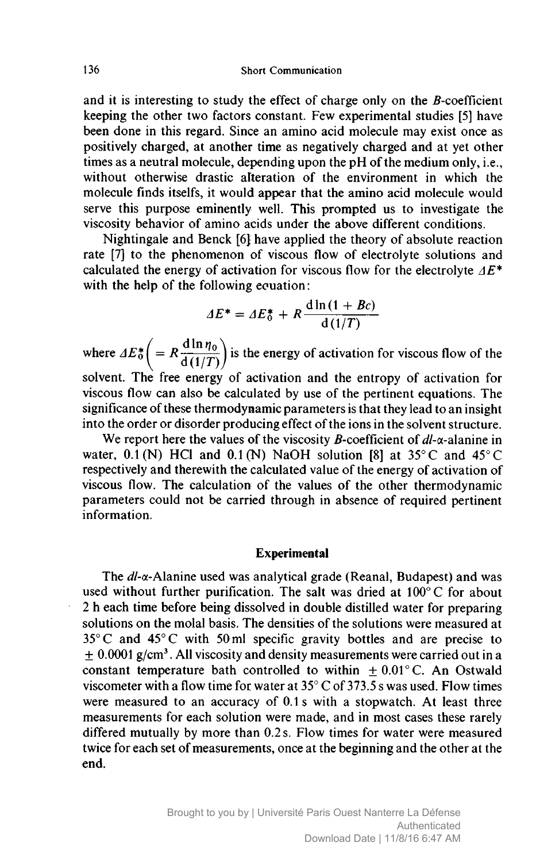and it is interesting to study the effect of charge only on the  $B$ -coefficient keeping the other two factors constant. Few experimental studies [5] have been done in this regard. Since an amino acid molecule may exist once as positively charged, at another time as negatively charged and at yet other times as <sup>a</sup> neutral molecule, depending upon the pH of the medium only, i.e., without otherwise drastic alteration of the environment in which the molecule finds itselfs, it would appear that the amino acid molecule would serve this purpose eminently well. This prompted us to investigate the viscosity behavior of amino acids under the above different conditions.

Nightingale and Benck [6} have applied the theory of absolute reaction rate [7] to the phenomenon of viscous flow of electrolyte solutions and calculated the energy of activation for viscous flow for the electrolyte  $\Delta E^*$ with the help of the following equation:

$$
\Delta E^* = \Delta E_0^* + R \frac{\mathrm{d}\ln\left(1 + Bc\right)}{\mathrm{d}\left(1/T\right)}
$$

where  $\Delta E_0^* = R \frac{d \ln \eta_0}{d \left(1/T\right)}$  is the energy of activation for viscous flow of the  $\left(\begin{array}{c} 0 \end{array} d(1/T)\right)$ solvent. The free energy of activation and the entropy of activation for viscous flow can also be calculated by use of the pertinent equations. The significance of these thermodynamic parameters is that they lead to an insight into the order or disorder producing effect of the ions in the solvent structure.

We report here the values of the viscosity *B*-coefficient of  $dl$ - $\alpha$ -alanine in water,  $0.1(N)$  HCl and  $0.1(N)$  NaOH solution [8] at 35°C and 45°C respectively and therewith the calculated value of the energy of activation of viscous flow. The calculation of the values of the other thermodynamic parameters could not be carried through in absence of required pertinent information.

# Experimental

The  $dl$ - $\alpha$ -Alanine used was analytical grade (Reanal, Budapest) and was used without further purification. The salt was dried at 100° <sup>C</sup> for about <sup>2</sup> <sup>h</sup> each time before being dissolved in double distilled water for preparing solutions on the molai basis. The densities of the solutions were measured at  $35^{\circ}$ C and  $45^{\circ}$ C with 50 ml specific gravity bottles and are precise to  $\pm$  0.0001 g/cm<sup>3</sup>. All viscosity and density measurements were carried out in a constant temperature bath controlled to within  $+0.01^{\circ}$ C. An Ostwald viscometer with a flow time for water at  $35^{\circ}$  C of  $373.5$  s was used. Flow times were measured to an accuracy of 0.1s with <sup>a</sup> stopwatch. At least three measurements for each solution were made, and in most cases these rarely differed mutually by more than 0.2 s. Flow times for water were measured twice for each set of measurements, once at the beginning and the other at the end.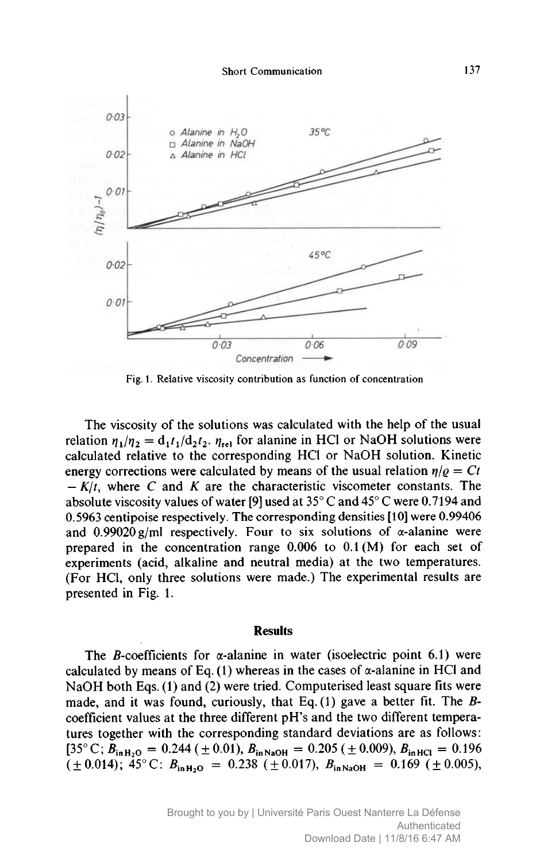

Fig. 1. Relative viscosity contribution as function of concentration

The viscosity of the solutions was calculated with the help of the usual relation  $\eta_1/\eta_2 = d_1 t_1/d_2 t_2$ .  $\eta_{rel}$  for alanine in HCl or NaOH solutions were calculated relative to the corresponding HCl or NaOH solution. Kinetic energy corrections were calculated by means of the usual relation  $\eta/\rho = Ct$ absolute viscosity values of water [9] used at  $35^{\circ}$  C and  $45^{\circ}$  C were 0.7194 and  $-K/t$ , where C and K are the characteristic viscometer constants. The 0.5963 centipoise respectively. The corresponding densities [10] were 0.99406 and  $0.99020$  g/ml respectively. Four to six solutions of  $\alpha$ -alanine were prepared in the concentration range 0.006 to 0.1 (M) for each set of experiments (acid, alkaline and neutral media) at the two temperatures. (For HCl, only three solutions were made.) The experimental results are presented in Fig. 1.

#### **Results**

The *B*-coefficients for  $\alpha$ -alanine in water (isoelectric point 6.1) were calculated by means of Eq.  $(1)$  whereas in the cases of  $\alpha$ -alanine in HCl and NaOH both Eqs. (1) and (2) were tried. Computerised least square fits were made, and it was found, curiously, that Eq.  $(1)$  gave a better fit. The Bcoefficient values at the three different pH's and the two different temperatures together with the corresponding standard deviations are as follows: [35° C;  $\ddot{B}_{\text{in H}_2\text{O}} = 0.244 \left( \pm 0.01 \right), B_{\text{in NaOH}} = 0.205 \left( \pm 0.009 \right), B_{\text{in HCl}} = 0.196$  $(\pm 0.014)$ ; 45°C:  $B_{\text{in H}_2O} = 0.238$  ( $\pm 0.017$ ),  $B_{\text{in NaOH}} = 0.169$  ( $\pm 0.005$ ),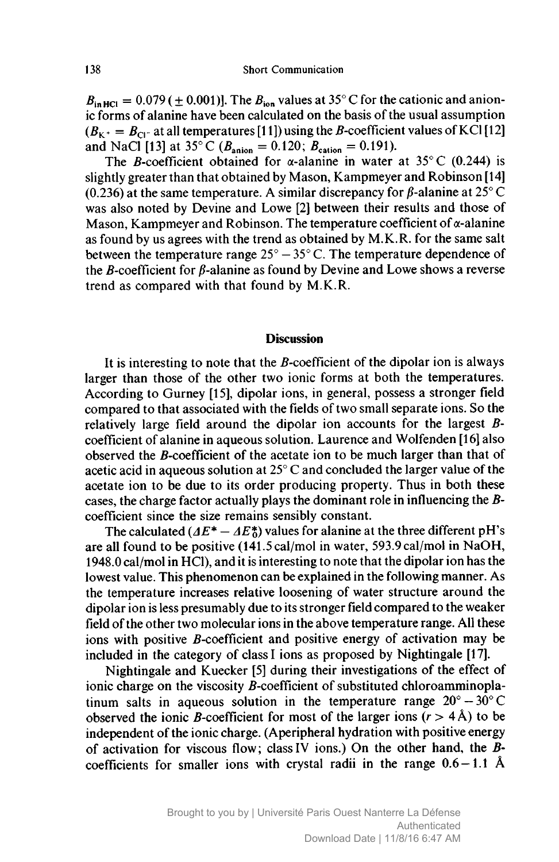$B_{\text{in HCl}} = 0.079 \ (\pm 0.001)$ . The  $B_{\text{ion}}$  values at 35° C for the cationic and anionic forms of alanine have been calculated on the basis of the usual assumption  $(B<sub>K</sub> + B<sub>C1</sub>$  at all temperatures [11]) using the *B*-coefficient values of KCl [12] and NaCl [13] at 35°C ( $B_{\text{anion}} = 0.120$ ;  $B_{\text{cation}} = 0.191$ ).

The B-coefficient obtained for  $\alpha$ -alanine in water at 35°C (0.244) is slightly greater than that obtained by Mason, Kampmeyer and Robinson [14] (0.236) at the same temperature. A similar discrepancy for  $\beta$ -alanine at 25° C was also noted by Devine and Lowe [2] between their results and those of Mason, Kampmeyer and Robinson. The temperature coefficient of  $\alpha$ -alanine as found by us agrees with the trend as obtained by M.K.R. for the same salt between the temperature range  $25^{\circ} - 35^{\circ}$  C. The temperature dependence of the  $B$ -coefficient for  $\beta$ -alanine as found by Devine and Lowe shows a reverse trend as compared with that found by M.K.R.

## **Discussion**

It is interesting to note that the  $B$ -coefficient of the dipolar ion is always larger than those of the other two ionic forms at both the temperatures. According to Gurney [15], dipolar ions, in general, possess <sup>a</sup> stronger field compared to that associated with the fields of two small separate ions. So the relatively large field around the dipolar ion accounts for the largest Bcoefficient of alanine in aqueous solution. Laurence and Wolfenden [16] also observed the ß-coefficient of the acetate ion to be much larger than that of acetic acid in aqueous solution at 25° <sup>C</sup> and concluded the larger value of the acetate ion to be due to its order producing property. Thus in both these cases, the charge factor actually plays the dominant role in influencing the Bcoefficient since the size remains sensibly constant.

The calculated  $(AE^* - AE_0^*)$  values for alanine at the three different pH's are all found to be positive (141.5 cal/mol in water, 593.9 cal/mol in NaOH, 1948.0 cal/mol in HCl), and it is interesting to note that the dipolar ion has the lowest value. This phenomenon can be explained in the following manner. As the temperature increases relative loosening of water structure around the dipolar ion is less presumably due to its stronger field compared to the weaker field ofthe other two molecular ions in the above temperature range. All these ions with positive  $\vec{B}$ -coefficient and positive energy of activation may be included in the category of class I ions as proposed by Nightingale [17].

Nightingale and Kuecker [5] during their investigations of the effect of ionic charge on the viscosity  $B$ -coefficient of substituted chloroamminoplatinum salts in aqueous solution in the temperature range  $20^{\circ} - 30^{\circ}$ C observed the ionic *B*-coefficient for most of the larger ions  $(r > 4 \text{ Å})$  to be independent of the ionic charge. (Aperipheral hydration with positive energy of activation for viscous flow; classIV ions.) On the other hand, the Bcoefficients for smaller ions with crystal radii in the range  $0.6 - 1.1$  Å